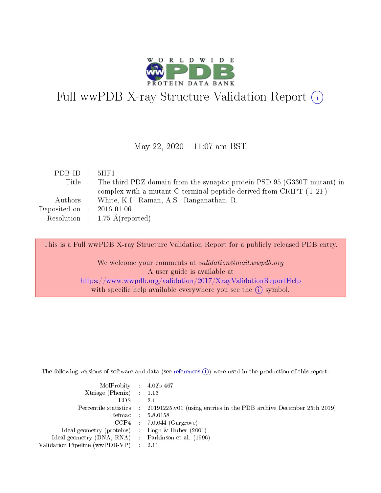

# Full wwPDB X-ray Structure Validation Report (i)

#### May 22,  $2020 - 11:07$  am BST

| PDB ID : $5HF1$                      |                                                                                 |
|--------------------------------------|---------------------------------------------------------------------------------|
|                                      | Title : The third PDZ domain from the synaptic protein PSD-95 (G330T mutant) in |
|                                      | complex with a mutant C-terminal peptide derived from CRIPT $(T-2F)$            |
|                                      | Authors : White, K.I.; Raman, A.S.; Ranganathan, R.                             |
| Deposited on $\therefore$ 2016-01-06 |                                                                                 |
|                                      | Resolution : $1.75 \text{ Å}$ (reported)                                        |
|                                      |                                                                                 |

This is a Full wwPDB X-ray Structure Validation Report for a publicly released PDB entry.

We welcome your comments at validation@mail.wwpdb.org A user guide is available at <https://www.wwpdb.org/validation/2017/XrayValidationReportHelp> with specific help available everywhere you see the  $(i)$  symbol.

The following versions of software and data (see [references](https://www.wwpdb.org/validation/2017/XrayValidationReportHelp#references)  $(i)$ ) were used in the production of this report:

| MolProbity : 4.02b-467                              |                                                                                            |
|-----------------------------------------------------|--------------------------------------------------------------------------------------------|
| $Xtriangle (Phenix)$ : 1.13                         |                                                                                            |
| $EDS = 2.11$                                        |                                                                                            |
|                                                     | Percentile statistics : 20191225.v01 (using entries in the PDB archive December 25th 2019) |
|                                                     | Refmac : 5.8.0158                                                                          |
|                                                     | $CCP4$ : 7.0.044 (Gargrove)                                                                |
| Ideal geometry (proteins) : Engh $\&$ Huber (2001)  |                                                                                            |
| Ideal geometry (DNA, RNA) : Parkinson et al. (1996) |                                                                                            |
| Validation Pipeline (wwPDB-VP) : 2.11               |                                                                                            |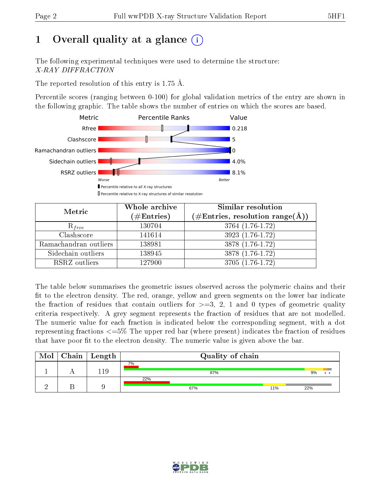# 1 [O](https://www.wwpdb.org/validation/2017/XrayValidationReportHelp#overall_quality)verall quality at a glance  $(i)$

The following experimental techniques were used to determine the structure: X-RAY DIFFRACTION

The reported resolution of this entry is 1.75 Å.

Percentile scores (ranging between 0-100) for global validation metrics of the entry are shown in the following graphic. The table shows the number of entries on which the scores are based.



| Metric                | Whole archive<br>$(\#\text{Entries})$ | Similar resolution<br>(#Entries, resolution range( $\AA$ )) |
|-----------------------|---------------------------------------|-------------------------------------------------------------|
| $R_{free}$            | 130704                                | 3764 (1.76-1.72)                                            |
| Clashscore            | 141614                                | $3923(1.76-1.72)$                                           |
| Ramachandran outliers | 138981                                | $3878(1.76-1.72)$                                           |
| Sidechain outliers    | 138945                                | 3878 (1.76-1.72)                                            |
| RSRZ outliers         | 127900                                | 3705 (1.76-1.72)                                            |

The table below summarises the geometric issues observed across the polymeric chains and their fit to the electron density. The red, orange, yellow and green segments on the lower bar indicate the fraction of residues that contain outliers for  $>=3, 2, 1$  and 0 types of geometric quality criteria respectively. A grey segment represents the fraction of residues that are not modelled. The numeric value for each fraction is indicated below the corresponding segment, with a dot representing fractions  $\epsilon=5\%$  The upper red bar (where present) indicates the fraction of residues that have poor fit to the electron density. The numeric value is given above the bar.

| Mol | ${\rm Chain \mid Length}$ | Quality of chain  |     |  |  |  |  |
|-----|---------------------------|-------------------|-----|--|--|--|--|
|     | - 19                      | 7%<br>87%         | 9%  |  |  |  |  |
|     |                           | 22%<br>67%<br>11% | 22% |  |  |  |  |

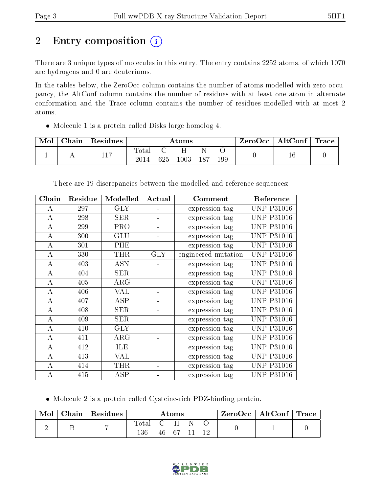# 2 Entry composition (i)

There are 3 unique types of molecules in this entry. The entry contains 2252 atoms, of which 1070 are hydrogens and 0 are deuteriums.

In the tables below, the ZeroOcc column contains the number of atoms modelled with zero occupancy, the AltConf column contains the number of residues with at least one atom in alternate conformation and the Trace column contains the number of residues modelled with at most 2 atoms.

Molecule 1 is a protein called Disks large homolog 4.

| Mol | Chain   Residues | Atoms               |     |      |      | $\text{ZeroOcc} \mid \text{AltConf} \mid \text{Trace}$ |  |  |
|-----|------------------|---------------------|-----|------|------|--------------------------------------------------------|--|--|
|     | 117              | $\rm Total$<br>2014 | 625 | 1003 | -187 | 199                                                    |  |  |

| Chain    | Residue | Modelled   | Actual     | Comment             | Reference         |
|----------|---------|------------|------------|---------------------|-------------------|
| А        | 297     | <b>GLY</b> |            | expression tag      | <b>UNP P31016</b> |
| A        | 298     | <b>SER</b> |            | expression tag      | <b>UNP P31016</b> |
| A        | 299     | <b>PRO</b> |            | expression tag      | <b>UNP P31016</b> |
| A        | 300     | GLU        |            | expression tag      | UNP P31016        |
| $\bf{A}$ | 301     | PHE        |            | expression tag      | <b>UNP P31016</b> |
| $\bf{A}$ | 330     | <b>THR</b> | <b>GLY</b> | engineered mutation | <b>UNP P31016</b> |
| A        | 403     | <b>ASN</b> |            | expression tag      | <b>UNP P31016</b> |
| $\bf{A}$ | 404     | <b>SER</b> |            | expression tag      | <b>UNP P31016</b> |
| $\bf{A}$ | 405     | ARG        |            | expression tag      | <b>UNP P31016</b> |
| $\bf{A}$ | 406     | VAL        |            | expression tag      | <b>UNP P31016</b> |
| A        | 407     | <b>ASP</b> |            | expression tag      | <b>UNP P31016</b> |
| A        | 408     | <b>SER</b> |            | expression tag      | <b>UNP P31016</b> |
| A        | 409     | <b>SER</b> |            | expression tag      | <b>UNP P31016</b> |
| $\bf{A}$ | 410     | <b>GLY</b> |            | expression tag      | <b>UNP P31016</b> |
| A        | 411     | $\rm{ARG}$ |            | expression tag      | UNP P31016        |
| $\bf{A}$ | 412     | ILE        |            | expression tag      | <b>UNP P31016</b> |
| A        | 413     | VAL        |            | expression tag      | <b>UNP P31016</b> |
| А        | 414     | THR        |            | expression tag      | <b>UNP P31016</b> |
| А        | 415     | ASP        |            | expression tag      | <b>UNP P31016</b> |

There are 19 discrepancies between the modelled and reference sequences:

Molecule 2 is a protein called Cysteine-rich PDZ-binding protein.

| Mol | Chain   Residues | $\bm{\mathrm{Atoms}}$ |  |          | ZeroOcc   AltConf   Trace |  |  |  |
|-----|------------------|-----------------------|--|----------|---------------------------|--|--|--|
|     |                  | Total C H<br>136      |  | 46 67 11 |                           |  |  |  |

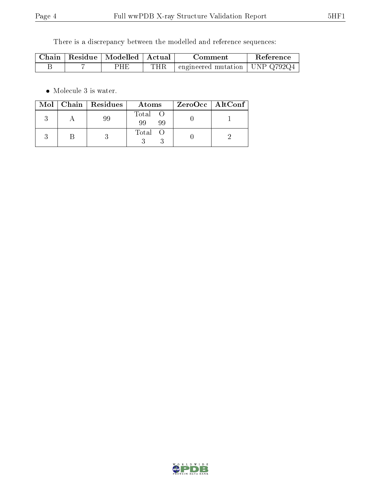There is a discrepancy between the modelled and reference sequences:

|  | Chain   Residue   Modelled   Actual |     | Comment                          | Reference |
|--|-------------------------------------|-----|----------------------------------|-----------|
|  | PHE                                 | THR | engineered mutation   UNP Q792Q4 |           |

• Molecule 3 is water.

|  | Mol   Chain   Residues | Atoms               | $ZeroOcc \   \ AltConf \  $ |
|--|------------------------|---------------------|-----------------------------|
|  |                        | Total O<br>99<br>99 |                             |
|  |                        | Total               |                             |

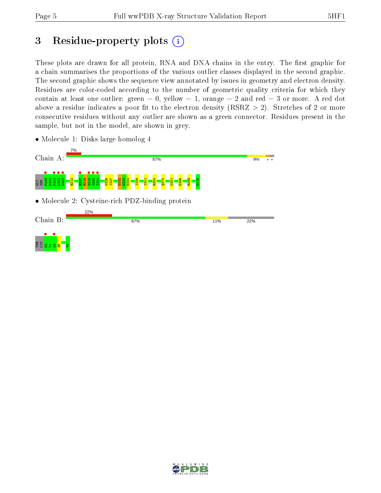# 3 Residue-property plots  $(i)$

These plots are drawn for all protein, RNA and DNA chains in the entry. The first graphic for a chain summarises the proportions of the various outlier classes displayed in the second graphic. The second graphic shows the sequence view annotated by issues in geometry and electron density. Residues are color-coded according to the number of geometric quality criteria for which they contain at least one outlier: green  $= 0$ , yellow  $= 1$ , orange  $= 2$  and red  $= 3$  or more. A red dot above a residue indicates a poor fit to the electron density (RSRZ  $> 2$ ). Stretches of 2 or more consecutive residues without any outlier are shown as a green connector. Residues present in the sample, but not in the model, are shown in grey.



• Molecule 1: Disks large homolog 4

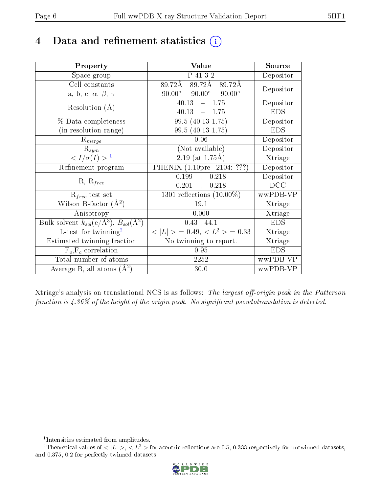## 4 Data and refinement statistics  $(i)$

| Property                                                         | Value                                           | Source     |
|------------------------------------------------------------------|-------------------------------------------------|------------|
| Space group                                                      | P 41 3 2                                        | Depositor  |
| Cell constants                                                   | $89.72\text{\AA}$<br>89.72Å<br>89.72Å           | Depositor  |
| a, b, c, $\alpha$ , $\beta$ , $\gamma$                           | $90.00^\circ$<br>$90.00^\circ$<br>$90.00^\circ$ |            |
| Resolution $(A)$                                                 | $-1.75$<br>40.13                                | Depositor  |
|                                                                  | 40.13<br>$-1.75$                                | <b>EDS</b> |
| % Data completeness                                              | $99.5(40.13-1.75)$                              | Depositor  |
| (in resolution range)                                            | $99.5(40.13-1.75)$                              | <b>EDS</b> |
| $R_{merge}$                                                      | 0.06                                            | Depositor  |
| $\mathrm{R}_{sym}$                                               | (Not available)                                 | Depositor  |
| $\langle I/\sigma(I) \rangle^{-1}$                               | $2.19$ (at 1.75Å)                               | Xtriage    |
| Refinement program                                               | PHENIX (1.10pre 2104: ???)                      | Depositor  |
|                                                                  | 0.199<br>0.218<br>$\mathbf{A}$                  | Depositor  |
| $R, R_{free}$                                                    | $0.201$ ,<br>0.218                              | DCC        |
| $\mathcal{R}_{free}$ test set                                    | $1301$ reflections $(10.00\%)$                  | wwPDB-VP   |
| Wilson B-factor $(A^2)$                                          | 19.1                                            | Xtriage    |
| Anisotropy                                                       | 0.000                                           | Xtriage    |
| Bulk solvent $k_{sol}(\text{e}/\text{A}^3), B_{sol}(\text{A}^2)$ | $0.43$ , 44.1                                   | <b>EDS</b> |
| L-test for twinning <sup>2</sup>                                 | $< L >$ = 0.49, $< L^2 >$ = 0.33                | Xtriage    |
| Estimated twinning fraction                                      | No twinning to report.                          | Xtriage    |
| $F_o, F_c$ correlation                                           | 0.95                                            | <b>EDS</b> |
| Total number of atoms                                            | 2252                                            | wwPDB-VP   |
| Average B, all atoms $(A^2)$                                     | 30.0                                            | wwPDB-VP   |

Xtriage's analysis on translational NCS is as follows: The largest off-origin peak in the Patterson function is  $4.36\%$  of the height of the origin peak. No significant pseudotranslation is detected.

<sup>&</sup>lt;sup>2</sup>Theoretical values of  $\langle |L| \rangle$ ,  $\langle L^2 \rangle$  for acentric reflections are 0.5, 0.333 respectively for untwinned datasets, and 0.375, 0.2 for perfectly twinned datasets.



<span id="page-5-1"></span><span id="page-5-0"></span><sup>1</sup> Intensities estimated from amplitudes.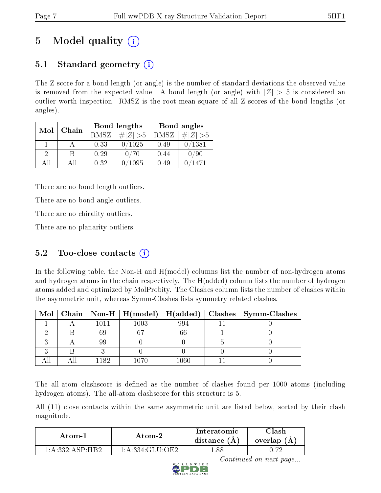# 5 Model quality  $(i)$

## 5.1 Standard geometry  $(i)$

The Z score for a bond length (or angle) is the number of standard deviations the observed value is removed from the expected value. A bond length (or angle) with  $|Z| > 5$  is considered an outlier worth inspection. RMSZ is the root-mean-square of all Z scores of the bond lengths (or angles).

| Mol           | Chain |      | Bond lengths                 | Bond angles |             |  |
|---------------|-------|------|------------------------------|-------------|-------------|--|
|               |       | RMSZ | $\vert \# \vert Z \vert > 5$ | RMSZ        | # $ Z  > 5$ |  |
|               |       | 0.33 | 0/1025                       | 0.49        | 0/1381      |  |
| $\mathcal{D}$ | В     | 0.29 | 0/70                         | 0.44        | 0/90        |  |
| AĦ            | Αll   | 0.32 | ′1095                        | 0.49        | 1471        |  |

There are no bond length outliers.

There are no bond angle outliers.

There are no chirality outliers.

There are no planarity outliers.

## 5.2 Too-close contacts  $(i)$

In the following table, the Non-H and H(model) columns list the number of non-hydrogen atoms and hydrogen atoms in the chain respectively. The H(added) column lists the number of hydrogen atoms added and optimized by MolProbity. The Clashes column lists the number of clashes within the asymmetric unit, whereas Symm-Clashes lists symmetry related clashes.

|  |       |          |      | Mol   Chain   Non-H   H(model)   H(added)   Clashes   Symm-Clashes |
|--|-------|----------|------|--------------------------------------------------------------------|
|  | 1011  | $1003\,$ | 994  |                                                                    |
|  | 69    | 67       | 66   |                                                                    |
|  | 99    |          |      |                                                                    |
|  |       |          |      |                                                                    |
|  | 1182. | $1070 -$ | .060 |                                                                    |

The all-atom clashscore is defined as the number of clashes found per 1000 atoms (including hydrogen atoms). The all-atom clashscore for this structure is 5.

All (11) close contacts within the same asymmetric unit are listed below, sorted by their clash magnitude.

| Atom-1          | Atom-2                                        | Interatomic<br>distance (A | $\cap$ lash<br>overlap $(A)$ |
|-----------------|-----------------------------------------------|----------------------------|------------------------------|
| 1 A 332 ASP HB2 | $1 \cdot A \cdot 334 \cdot G$ LII $\cdot$ OE2 | .88                        | 70                           |



Continued on next page...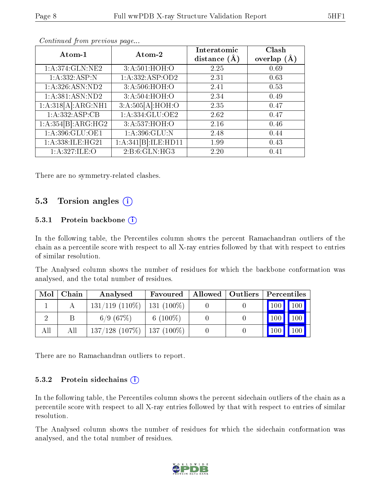| Atom-1              | Atom-2              | Interatomic<br>distance $(A)$ | Clash<br>overlap $(\AA)$ |
|---------------------|---------------------|-------------------------------|--------------------------|
| 1: A:374: GLN:NE2   | 3:A:501:HOH:O       | 2.25                          | 0.69                     |
| 1:A:332:ASP:N       | 1: A: 332: ASP: OD2 | 2.31                          | 0.63                     |
| 1: A:326: ASN:ND2   | 3:A:506:HOH:O       | 2.41                          | 0.53                     |
| 1:A:381:ASN:ND2     | 3:A:504:HOH:O       | 2.34                          | 0.49                     |
| 1:A:318[A]:ARG:NH1  | 3:A:505[A]:HOH:O    | 2.35                          | 0.47                     |
| 1:A:332:ASP:CB      | 1:A:334:GLU:OE2     | 2.62                          | 0.47                     |
| 1:A:354[B]:ARG:HG2  | 3:A:537:HOH:O       | 2.16                          | 0.46                     |
| 1: A: 396: GLU: OE1 | 1: A:396: GLU:N     | 2.48                          | 0.44                     |
| 1:A:338:ILE:HG21    | 1:A:341[B]:ILE:HD11 | 1.99                          | 0.43                     |
| 1: A:327: ILE:O     | 2: B:6: GLN: HG3    | 2.20                          | 0.41                     |

Continued from previous page...

There are no symmetry-related clashes.

### 5.3 Torsion angles (i)

#### 5.3.1 Protein backbone  $(i)$

In the following table, the Percentiles column shows the percent Ramachandran outliers of the chain as a percentile score with respect to all X-ray entries followed by that with respect to entries of similar resolution.

The Analysed column shows the number of residues for which the backbone conformation was analysed, and the total number of residues.

| Mol | Chain | Analysed                            | Favoured    | Allowed   Outliers | Percentiles |                     |
|-----|-------|-------------------------------------|-------------|--------------------|-------------|---------------------|
|     |       | $131/119$ $(110\%)$   131 $(100\%)$ |             |                    |             | 100     100         |
|     |       | 6/9(67%)                            | 6 $(100\%)$ |                    | 100         | 100                 |
| All | Аll   | $137/128$ (107\%)   137 (100\%)     |             |                    | 100         | $\vert$ 100 $\vert$ |

There are no Ramachandran outliers to report.

#### 5.3.2 Protein sidechains (i)

In the following table, the Percentiles column shows the percent sidechain outliers of the chain as a percentile score with respect to all X-ray entries followed by that with respect to entries of similar resolution.

The Analysed column shows the number of residues for which the sidechain conformation was analysed, and the total number of residues.

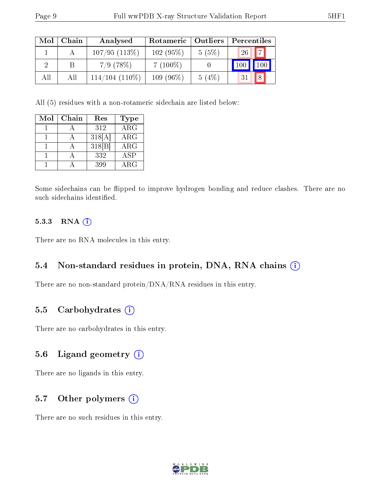| Mol | Chain | Analysed          | Rotameric   | Outliers | Percentiles           |
|-----|-------|-------------------|-------------|----------|-----------------------|
|     |       | 107/95(113%)      | 102(95%)    | 5(5%)    | 7 <br>26 <sub>1</sub> |
|     |       | $7/9$ (78\%)      | $7(100\%)$  |          |                       |
| All | All   | $114/104$ (110\%) | $109(96\%)$ | $5(4\%)$ | 8                     |

All (5) residues with a non-rotameric sidechain are listed below:

| Mol | Chain | Res    | Type                    |
|-----|-------|--------|-------------------------|
|     |       | 312    | $\overline{\text{ARG}}$ |
|     |       | 318[A] | $\rm{ARG}$              |
|     |       | 318 B  | ARG                     |
|     |       | 332    | <b>ASP</b>              |
|     |       | 399    | ARG                     |

Some sidechains can be flipped to improve hydrogen bonding and reduce clashes. There are no such sidechains identified.

#### 5.3.3 RNA [O](https://www.wwpdb.org/validation/2017/XrayValidationReportHelp#rna)i

There are no RNA molecules in this entry.

#### 5.4 Non-standard residues in protein, DNA, RNA chains (i)

There are no non-standard protein/DNA/RNA residues in this entry.

#### 5.5 Carbohydrates (i)

There are no carbohydrates in this entry.

### 5.6 Ligand geometry (i)

There are no ligands in this entry.

### 5.7 [O](https://www.wwpdb.org/validation/2017/XrayValidationReportHelp#nonstandard_residues_and_ligands)ther polymers  $(i)$

There are no such residues in this entry.

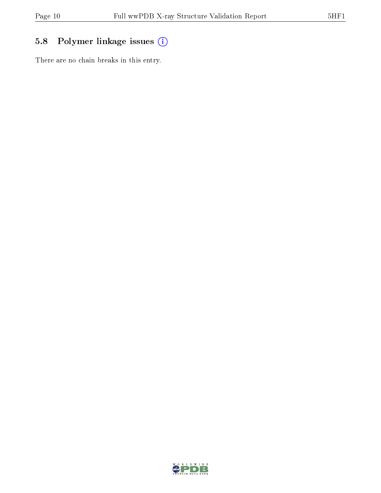## 5.8 Polymer linkage issues (i)

There are no chain breaks in this entry.

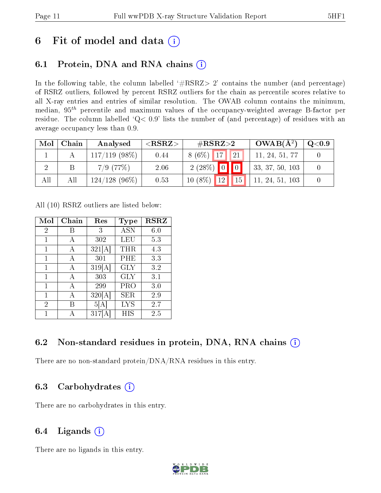## 6 Fit of model and data  $(i)$

## 6.1 Protein, DNA and RNA chains  $(i)$

In the following table, the column labelled  $#RSRZ> 2'$  contains the number (and percentage) of RSRZ outliers, followed by percent RSRZ outliers for the chain as percentile scores relative to all X-ray entries and entries of similar resolution. The OWAB column contains the minimum, median,  $95<sup>th</sup>$  percentile and maximum values of the occupancy-weighted average B-factor per residue. The column labelled ' $Q< 0.9$ ' lists the number of (and percentage) of residues with an average occupancy less than 0.9.

| Mol | Chain | Analysed         | ${ <\hspace{-1.5pt}{\mathrm{RSRZ}} \hspace{-1.5pt}>}$ | $\#\text{RSRZ}\text{>2}$ | $OWAB(A^2)$     | $\rm Q\textcolor{black}{<}0.9$ |
|-----|-------|------------------|-------------------------------------------------------|--------------------------|-----------------|--------------------------------|
|     |       | $117/119$ (98\%) | 0.44                                                  | $8(6\%)$ 17 21           | 11, 24, 51, 77  |                                |
|     |       | $7/9$ (77\%)     | 2.06                                                  | $2(28\%)$ 0 0            | 33, 37, 50, 103 |                                |
| All | All   | $124/128(96\%)$  | 0.53                                                  | $10(8\%)$ 12 15          | 11, 24, 51, 103 |                                |

All (10) RSRZ outliers are listed below:

| Mol            | Chain | Res    | Type              | <b>RSRZ</b> |
|----------------|-------|--------|-------------------|-------------|
| $\overline{2}$ | В     | 3      | <b>ASN</b>        | 6.0         |
| 1              | А     | 302    | LEU               | 5.3         |
| 1              | А     | 321[A] | THR               | 4.3         |
| 1              | А     | 301    | PHE               | 3.3         |
| 1              | А     | 319[A] | <b>GLY</b>        | 3.2         |
| $\mathbf{1}$   | А     | 303    | GLY               | 3.1         |
| 1              | А     | 299    | PRO               | 3.0         |
| $\mathbf{1}$   | А     | 320[A] | SER               | 2.9         |
| $\overline{2}$ | R     | 5  A   | $_{\mathrm{LYS}}$ | 2.7         |
| 1              |       | 317    | НIS               | 2.5         |

### 6.2 Non-standard residues in protein, DNA, RNA chains  $(i)$

There are no non-standard protein/DNA/RNA residues in this entry.

### 6.3 Carbohydrates  $(i)$

There are no carbohydrates in this entry.

## 6.4 Ligands  $(i)$

There are no ligands in this entry.